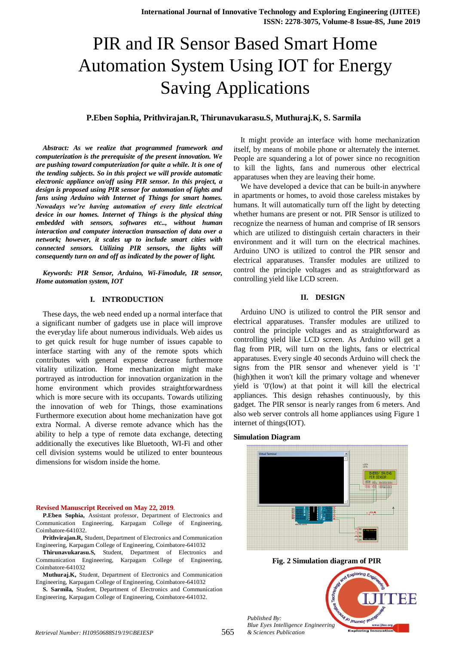# PIR and IR Sensor Based Smart Home Automation System Using IOT for Energy Saving Applications

# **P.Eben Sophia, Prithvirajan.R, Thirunavukarasu.S, Muthuraj.K, S. Sarmila**

*Abstract: As we realize that programmed framework and computerization is the prerequisite of the present innovation. We are pushing toward computerization for quite a while. It is one of the tending subjects. So in this project we will provide automatic electronic appliance on/off using PIR sensor. In this project, a design is proposed using PIR sensor for automation of lights and fans using Arduino with Internet of Things for smart homes. Nowadays we're having automation of every little electrical device in our homes. Internet of Things is the physical thing embedded with sensors, softwares etc.., without human interaction and computer interaction transaction of data over a network; however, it scales up to include smart cities with connected sensors. Utilizing PIR sensors, the lights will consequently turn on and off as indicated by the power of light.*

*Keywords: PIR Sensor, Arduino, Wi-Fimodule, IR sensor, Home automation system, IOT* 

# **I. INTRODUCTION**

These days, the web need ended up a normal interface that a significant number of gadgets use in place will improve the everyday life about numerous individuals. Web aides us to get quick result for huge number of issues capable to interface starting with any of the remote spots which contributes with general expense decrease furthermore vitality utilization. Home mechanization might make portrayed as introduction for innovation organization in the home environment which provides straightforwardness which is more secure with its occupants. Towards utilizing the innovation of web for Things, those examinations Furthermore execution about home mechanization have got extra Normal. A diverse remote advance which has the ability to help a type of remote data exchange, detecting additionally the executives like Bluetooth, WI-Fi and other cell division systems would be utilized to enter bounteous dimensions for wisdom inside the home.

#### **Revised Manuscript Received on May 22, 2019**.

**P.Eben Sophia,** Assistant professor, Department of Electronics and Communication Engineering, Karpagam College of Engineering, Coimbatore-641032.

**Prithvirajan.R,** Student, Department of Electronics and Communication Engineering, Karpagam College of Engineering, Coimbatore-641032

**Thirunavukarasu.S,** Student, Department of Electronics and Communication Engineering, Karpagam College of Engineering, Coimbatore-641032

**Muthuraj.K,** Student, Department of Electronics and Communication Engineering, Karpagam College of Engineering, Coimbatore-641032

**S. Sarmila,** Student, Department of Electronics and Communication Engineering, Karpagam College of Engineering, Coimbatore-641032.

It might provide an interface with home mechanization itself, by means of mobile phone or alternately the internet. People are squandering a lot of power since no recognition to kill the lights, fans and numerous other electrical apparatuses when they are leaving their home.

We have developed a device that can be built-in anywhere in apartments or homes, to avoid those careless mistakes by humans. It will automatically turn off the light by detecting whether humans are present or not. PIR Sensor is utilized to recognize the nearness of human and comprise of IR sensors which are utilized to distinguish certain characters in their environment and it will turn on the electrical machines. Arduino UNO is utilized to control the PIR sensor and electrical apparatuses. Transfer modules are utilized to control the principle voltages and as straightforward as controlling yield like LCD screen.

# **II. DESIGN**

Arduino UNO is utilized to control the PIR sensor and electrical apparatuses. Transfer modules are utilized to control the principle voltages and as straightforward as controlling yield like LCD screen. As Arduino will get a flag from PIR, will turn on the lights, fans or electrical apparatuses. Every single 40 seconds Arduino will check the signs from the PIR sensor and whenever yield is '1' (high)then it won't kill the primary voltage and whenever yield is '0'(low) at that point it will kill the electrical appliances. This design rehashes continuously, by this gadget. The PIR sensor is nearly ranges from 6 meters. And also web server controls all home appliances using Figure 1 internet of things(IOT).

#### **Simulation Diagram**



*Retrieval Number: H10950688S19/19©BEIESP & Sciences Publication*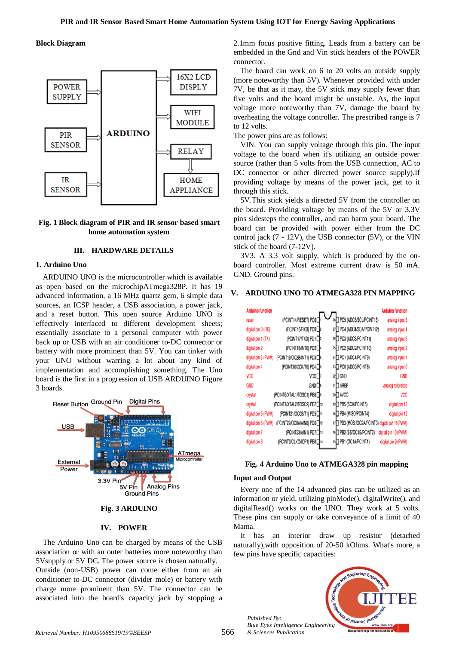#### **Block Diagram**



# **Fig. 1 Block diagram of PIR and IR sensor based smart home automation system**

# **III. HARDWARE DETAILS**

# **1. Arduino Uno**

ARDUINO UNO is the microcontroller which is available as open based on the microchipATmega328P. It has 19 advanced information, a 16 MHz quartz gem, 6 simple data sources, an ICSP header, a USB association, a power jack, and a reset button. This open source Arduino UNO is effectively interfaced to different development sheets; essentially associate to a personal computer with power back up or USB with an air conditioner to-DC connector or battery with more prominent than 5V. You can tinker with your UNO without warring a lot about any kind of implementation and accomplishing something. The Uno board is the first in a progression of USB ARDUINO Figure 3 boards.



#### **Fig. 3 ARDUINO**

## **IV. POWER**

The Arduino Uno can be charged by means of the USB association or with an outer batteries more noteworthy than 5Vsupply or 5V DC. The power source is chosen naturally. Outside (non-USB) power can come either from an air conditioner to-DC connector (divider mole) or battery with charge more prominent than 5V. The connector can be associated into the board's capacity jack by stopping a 2.1mm focus positive fitting. Leads from a battery can be embedded in the Gnd and Vin stick headers of the POWER connector.

The board can work on 6 to 20 volts an outside supply (more noteworthy than 5V). Whenever provided with under 7V, be that as it may, the 5V stick may supply fewer than five volts and the board might be unstable. As, the input voltage more noteworthy than 7V, damage the board by overheating the voltage controller. The prescribed range is 7 to 12 volts.

The power pins are as follows:

VIN. You can supply voltage through this pin. The input voltage to the board when it's utilizing an outside power source (rather than 5 volts from the USB connection, AC to DC connector or other directed power source supply).If providing voltage by means of the power jack, get to it through this stick.

5V.This stick yields a directed 5V from the controller on the board. Providing voltage by means of the 5V or 3.3V pins sidesteps the controller, and can harm your board. The board can be provided with power either from the DC control jack (7 - 12V), the USB connector (5V), or the VIN stick of the board (7-12V).

3V3. A 3.3 volt supply, which is produced by the onboard controller. Most extreme current draw is 50 mA. GND. Ground pins.

| <b>Arduino function</b> |                                       |                                                | <b>Arduino function</b> |
|-------------------------|---------------------------------------|------------------------------------------------|-------------------------|
| reset                   | (PCINT14/RESET) PC6D                  | 28 PC5 (ADC5/SCL/PCINT13)                      | analog input 5          |
| digital pin 0 (RX)      | (PCINT16/RXD) PD0□2                   | PC4 (ADC4/SDA/PCINT12)                         | analog input 4          |
| digital pin 1 (TX)      | (PCINT17/TXD) PD1□                    | 26 PC3 (ADC3/PCINT11)                          | analog input 3          |
| digital pin 2           | (PCINT18/INT0) PD2 <sup>4</sup>       | 25 PC2 (ADC2/PCINT10)                          | analog input 2          |
| digital pin 3 (PWM)     | (PCINT19/OC2B/INT1) PD3 <sup>5</sup>  | 24 PC1 (ADC1/PCINT9)                           | analog input 1          |
| digital pin 4           | (PCINT20/XCK/T0) PD4□6                | 23 PC0 (ADC0/PCINT8)                           | analog input 0          |
| VCC                     | vcc□                                  | <sup>22</sup> □ GND                            | <b>GND</b>              |
| <b>GND</b>              | GND□®                                 | 21□ AREF                                       | analog reference        |
| crystal                 | (PCINT6/XTAL1/TOSC1) PB6□9            | 20□ AVCC                                       | <b>VCC</b>              |
| crystal                 | (PCINT7/XTAL2/TOSC2) PB7              | 19 <sup>1</sup> PB5 (SCK/PCINT5)               | digital pin 13          |
| digital pin 5 (PWM)     | (PCINT21/OC0B/T1) PD5 <sup>1</sup> 11 | 18 <sup>1</sup> PB4 (MISO/PCINT4)              | digital pin 12          |
| digital pin 6 (PWM)     | (PCINT22/OC0A/AIN0) PD6 <sup>12</sup> | 17 PB3 (MOSI/OC2A/PCINT3) digital pin 11 (PWM) |                         |
| digital pin 7           | (PCINT23/AIN1) PD7□13                 | 16 PB2 (SS/OC1B/PCINT2)                        | digital pin 10 (PWM)    |
| digital pin 8           | (PCINT0/CLKO/ICP1) PB0 <sup>14</sup>  | 15 <sup>D</sup> PB1 (OC1A/PCINT1)              | digital pin 9 (PWM)     |

#### **V. ARDUINO UNO TO ATMEGA328 PIN MAPPING**

#### **Fig. 4 Arduino Uno to ATMEGA328 pin mapping**

#### **Input and Output**

Every one of the 14 advanced pins can be utilized as an information or yield, utilizing pinMode(), digitalWrite(), and digitalRead() works on the UNO. They work at 5 volts. These pins can supply or take conveyance of a limit of 40 Mama.

It has an interior draw up resistor (detached naturally),with opposition of 20-50 kOhms. What's more, a few pins have specific capacities:



*Published By: Blue Eyes Intelligence Engineering*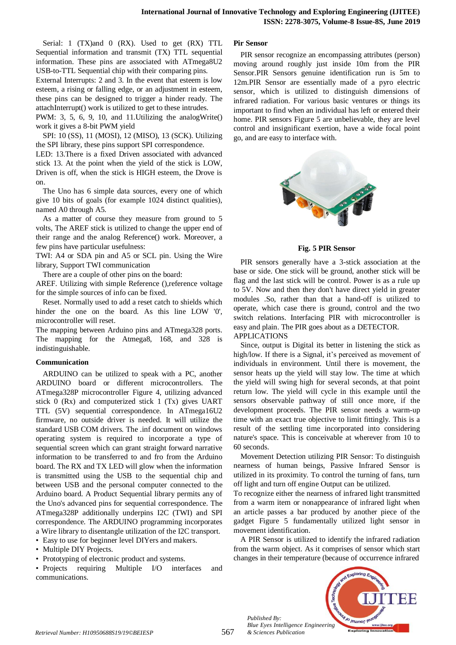Serial: 1 (TX)and 0 (RX). Used to get (RX) TTL Sequential information and transmit (TX) TTL sequential information. These pins are associated with ATmega8U2 USB-to-TTL Sequential chip with their comparing pins.

External Interrupts: 2 and 3. In the event that esteem is low esteem, a rising or falling edge, or an adjustment in esteem, these pins can be designed to trigger a hinder ready. The attachInterrupt() work is utilized to get to these intrudes.

PWM: 3, 5, 6, 9, 10, and 11.Utilizing the analogWrite() work it gives a 8-bit PWM yield

SPI: 10 (SS), 11 (MOSI), 12 (MISO), 13 (SCK). Utilizing the SPI library, these pins support SPI correspondence.

LED: 13.There is a fixed Driven associated with advanced stick 13. At the point when the yield of the stick is LOW, Driven is off, when the stick is HIGH esteem, the Drove is on.

The Uno has 6 simple data sources, every one of which give 10 bits of goals (for example 1024 distinct qualities), named A0 through A5.

As a matter of course they measure from ground to 5 volts, The AREF stick is utilized to change the upper end of their range and the analog Reference() work. Moreover, a few pins have particular usefulness:

TWI: A4 or SDA pin and A5 or SCL pin. Using the Wire library, Support TWI communication

There are a couple of other pins on the board:

AREF. Utilizing with simple Reference (),reference voltage for the simple sources of info can be fixed.

Reset. Normally used to add a reset catch to shields which hinder the one on the board. As this line LOW '0', microcontroller will reset.

The mapping between Arduino pins and ATmega328 ports. The mapping for the Atmega8, 168, and 328 is indistinguishable.

# **Communication**

ARDUINO can be utilized to speak with a PC, another ARDUINO board or different microcontrollers. The ATmega328P microcontroller Figure 4, utilizing advanced stick 0 (Rx) and computerized stick 1 (Tx) gives UART TTL (5V) sequential correspondence. In ATmega16U2 firmware, no outside driver is needed. It will utilize the standard USB COM drivers. The .inf document on windows operating system is required to incorporate a type of sequential screen which can grant straight forward narrative information to be transferred to and fro from the Arduino board. The RX and TX LED will glow when the information is transmitted using the USB to the sequential chip and between USB and the personal computer connected to the Arduino board. A Product Sequential library permits any of the Uno's advanced pins for sequential correspondence. The ATmega328P additionally underpins I2C (TWI) and SPI correspondence. The ARDUINO programming incorporates a Wire library to disentangle utilization of the I2C transport.

- Easy to use for beginner level DIYers and makers. • Multiple DIY Projects.
- Prototyping of electronic product and systems.

• Projects requiring Multiple I/O interfaces and communications.

## **Pir Sensor**

PIR sensor recognize an encompassing attributes (person) moving around roughly just inside 10m from the PIR Sensor.PIR Sensors genuine identification run is 5m to 12m.PIR Sensor are essentially made of a pyro electric sensor, which is utilized to distinguish dimensions of infrared radiation. For various basic ventures or things its important to find when an individual has left or entered their home. PIR sensors Figure 5 are unbelievable, they are level control and insignificant exertion, have a wide focal point go, and are easy to interface with.



**Fig. 5 PIR Sensor**

PIR sensors generally have a 3-stick association at the base or side. One stick will be ground, another stick will be flag and the last stick will be control. Power is as a rule up to 5V. Now and then they don't have direct yield in greater modules .So, rather than that a hand-off is utilized to operate, which case there is ground, control and the two switch relations. Interfacing PIR with microcontroller is easy and plain. The PIR goes about as a DETECTOR. APPLICATIONS

Since, output is Digital its better in listening the stick as high/low. If there is a Signal, it's perceived as movement of individuals in environment. Until there is movement, the sensor heats up the yield will stay low. The time at which the yield will swing high for several seconds, at that point return low. The yield will cycle in this example until the sensors observable pathway of still once more, if the development proceeds. The PIR sensor needs a warm-up time with an exact true objective to limit fittingly. This is a result of the settling time incorporated into considering nature's space. This is conceivable at wherever from 10 to

60 seconds. Movement Detection utilizing PIR Sensor: To distinguish nearness of human beings, Passive Infrared Sensor is utilized in its proximity. To control the turning of fans, turn off light and turn off engine Output can be utilized.

To recognize either the nearness of infrared light transmitted from a warm item or nonappearance of infrared light when an article passes a bar produced by another piece of the gadget Figure 5 fundamentally utilized light sensor in movement identification.

A PIR Sensor is utilized to identify the infrared radiation from the warm object. As it comprises of sensor which start changes in their temperature (because of occurrence infrared



*Published By: Blue Eyes Intelligence Engineering*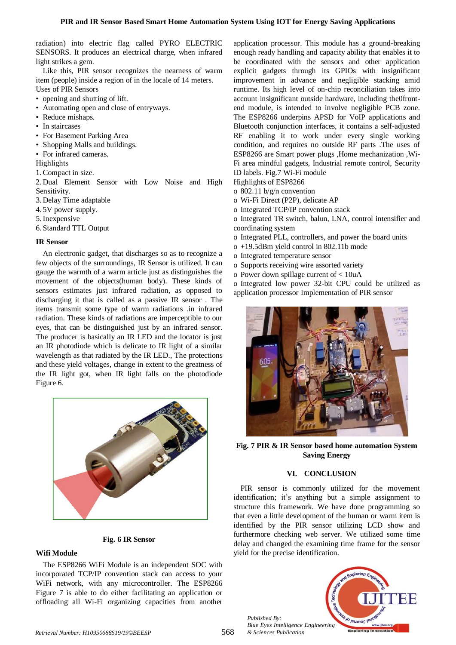radiation) into electric flag called PYRO ELECTRIC SENSORS. It produces an electrical charge, when infrared light strikes a gem.

Like this, PIR sensor recognizes the nearness of warm item (people) inside a region of in the locale of 14 meters. Uses of PIR Sensors

- opening and shutting of lift.
- Automating open and close of entryways.
- Reduce mishaps.
- In staircases
- For Basement Parking Area
- Shopping Malls and buildings.
- For infrared cameras.

Highlights

1.Compact in size.

2. Dual Element Sensor with Low Noise and High Sensitivity.

3. Delay Time adaptable

- 4. 5V power supply.
- 5.Inexpensive

6. Standard TTL Output

# **IR Sensor**

An electronic gadget, that discharges so as to recognize a few objects of the surroundings, IR Sensor is utilized. It can gauge the warmth of a warm article just as distinguishes the movement of the objects(human body). These kinds of sensors estimates just infrared radiation, as opposed to discharging it that is called as a passive IR sensor . The items transmit some type of warm radiations .in infrared radiation. These kinds of radiations are imperceptible to our eyes, that can be distinguished just by an infrared sensor. The producer is basically an IR LED and the locator is just an IR photodiode which is delicate to IR light of a similar wavelength as that radiated by the IR LED., The protections and these yield voltages, change in extent to the greatness of the IR light got, when IR light falls on the photodiode Figure 6.



# **Fig. 6 IR Sensor**

# **Wifi Module**

The ESP8266 WiFi Module is an independent SOC with incorporated TCP/IP convention stack can access to your WiFi network, with any microcontroller. The ESP8266 Figure 7 is able to do either facilitating an application or offloading all Wi-Fi organizing capacities from another

application processor. This module has a ground-breaking enough ready handling and capacity ability that enables it to be coordinated with the sensors and other application explicit gadgets through its GPIOs with insignificant improvement in advance and negligible stacking amid runtime. Its high level of on-chip reconciliation takes into account insignificant outside hardware, including the0frontend module, is intended to involve negligible PCB zone. The ESP8266 underpins APSD for VoIP applications and Bluetooth conjunction interfaces, it contains a self-adjusted RF enabling it to work under every single working condition, and requires no outside RF parts .The uses of ESP8266 are Smart power plugs ,Home mechanization ,Wi-Fi area mindful gadgets, Industrial remote control, Security ID labels. Fig.7 Wi-Fi module

Highlights of ESP8266

- o 802.11 b/g/n convention
- o Wi-Fi Direct (P2P), delicate AP
- o Integrated TCP/IP convention stack

o Integrated TR switch, balun, LNA, control intensifier and coordinating system

- o Integrated PLL, controllers, and power the board units
- o +19.5dBm yield control in 802.11b mode
- o Integrated temperature sensor
- o Supports receiving wire assorted variety
- o Power down spillage current of < 10uA

o Integrated low power 32-bit CPU could be utilized as application processor Implementation of PIR sensor



**Fig. 7 PIR & IR Sensor based home automation System Saving Energy**

# **VI. CONCLUSION**

PIR sensor is commonly utilized for the movement identification; it's anything but a simple assignment to structure this framework. We have done programming so that even a little development of the human or warm item is identified by the PIR sensor utilizing LCD show and furthermore checking web server. We utilized some time delay and changed the examining time frame for the sensor yield for the precise identification.



*Published By: Blue Eyes Intelligence Engineering*